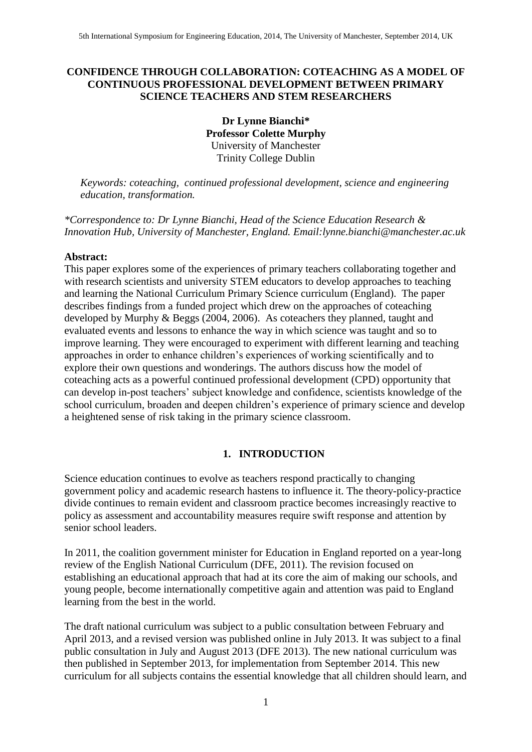# **CONFIDENCE THROUGH COLLABORATION: COTEACHING AS A MODEL OF CONTINUOUS PROFESSIONAL DEVELOPMENT BETWEEN PRIMARY SCIENCE TEACHERS AND STEM RESEARCHERS**

**Dr Lynne Bianchi\* Professor Colette Murphy** University of Manchester Trinity College Dublin

*Keywords: coteaching, continued professional development, science and engineering education, transformation.*

*\*Correspondence to: Dr Lynne Bianchi, Head of the Science Education Research & Innovation Hub, University of Manchester, England. Email:lynne.bianchi@manchester.ac.uk*

#### **Abstract:**

This paper explores some of the experiences of primary teachers collaborating together and with research scientists and university STEM educators to develop approaches to teaching and learning the National Curriculum Primary Science curriculum (England). The paper describes findings from a funded project which drew on the approaches of coteaching developed by Murphy & Beggs (2004, 2006). As coteachers they planned, taught and evaluated events and lessons to enhance the way in which science was taught and so to improve learning. They were encouraged to experiment with different learning and teaching approaches in order to enhance children's experiences of working scientifically and to explore their own questions and wonderings. The authors discuss how the model of coteaching acts as a powerful continued professional development (CPD) opportunity that can develop in-post teachers' subject knowledge and confidence, scientists knowledge of the school curriculum, broaden and deepen children's experience of primary science and develop a heightened sense of risk taking in the primary science classroom.

## **1. INTRODUCTION**

Science education continues to evolve as teachers respond practically to changing government policy and academic research hastens to influence it. The theory-policy-practice divide continues to remain evident and classroom practice becomes increasingly reactive to policy as assessment and accountability measures require swift response and attention by senior school leaders.

In 2011, the coalition government minister for Education in England reported on a year-long review of the English National Curriculum (DFE, 2011). The revision focused on establishing an educational approach that had at its core the aim of making our schools, and young people, become internationally competitive again and attention was paid to England learning from the best in the world.

The draft national curriculum was subject to a public consultation between February and April 2013, and a [revised version](http://www.education.gov.uk/schools/teaching%20and%20learning/curriculum/nationalcurriculum2014) was published online in July 2013. It was subject to a final public [consultation](https://www.gov.uk/government/consultations/national-curriculum-review-new-programmes-of-study-and-attainment-targets-from-september-2014) in July and August 2013 (DFE 2013). The new [national curriculum](https://www.gov.uk/government/organisations/department-for-education/series/national-curriculum) was then published in September 2013, for implementation from September 2014. This new curriculum for all subjects contains the essential knowledge that all children should learn, and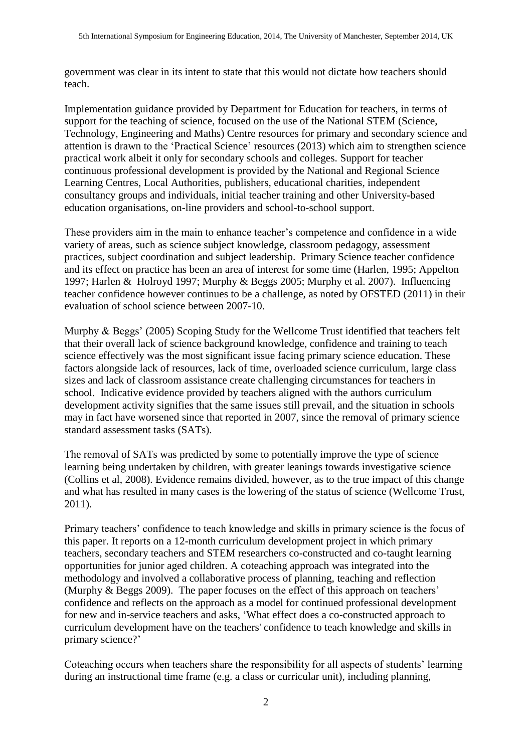government was clear in its intent to state that this would not dictate how teachers should teach.

Implementation guidance provided by Department for Education for teachers, in terms of support for the teaching of science, focused on the use of the National STEM (Science, Technology, Engineering and Maths) Centre resources for primary and secondary science and attention is drawn to the 'Practical Science' resources (2013) which aim to strengthen science practical work albeit it only for secondary schools and colleges. Support for teacher continuous professional development is provided by the [National and Regional Science](https://www.sciencelearningcentres.org.uk/consortia/national/)  [Learning Centres](https://www.sciencelearningcentres.org.uk/consortia/national/), Local Authorities, publishers, educational charities, independent consultancy groups and individuals, initial teacher training and other University-based education organisations, on-line providers and school-to-school support.

These providers aim in the main to enhance teacher's competence and confidence in a wide variety of areas, such as science subject knowledge, classroom pedagogy, assessment practices, subject coordination and subject leadership. Primary Science teacher confidence and its effect on practice has been an area of interest for some time (Harlen, 1995; Appelton 1997; Harlen & Holroyd 1997; Murphy & Beggs 2005; Murphy et al. 2007). Influencing teacher confidence however continues to be a challenge, as noted by OFSTED (2011) in their evaluation of school science between 2007-10.

Murphy & Beggs' (2005) Scoping Study for the Wellcome Trust identified that teachers felt that their overall lack of science background knowledge, confidence and training to teach science effectively was the most significant issue facing primary science education. These factors alongside lack of resources, lack of time, overloaded science curriculum, large class sizes and lack of classroom assistance create challenging circumstances for teachers in school. Indicative evidence provided by teachers aligned with the authors curriculum development activity signifies that the same issues still prevail, and the situation in schools may in fact have worsened since that reported in 2007, since the removal of primary science standard assessment tasks (SATs).

The removal of SATs was predicted by some to potentially improve the type of science learning being undertaken by children, with greater leanings towards investigative science (Collins et al, 2008). Evidence remains divided, however, as to the true impact of this change and what has resulted in many cases is the lowering of the status of science (Wellcome Trust, 2011).

Primary teachers' confidence to teach knowledge and skills in primary science is the focus of this paper. It reports on a 12-month curriculum development project in which primary teachers, secondary teachers and STEM researchers co-constructed and co-taught learning opportunities for junior aged children. A coteaching approach was integrated into the methodology and involved a collaborative process of planning, teaching and reflection (Murphy & Beggs 2009). The paper focuses on the effect of this approach on teachers' confidence and reflects on the approach as a model for continued professional development for new and in-service teachers and asks, 'What effect does a co-constructed approach to curriculum development have on the teachers' confidence to teach knowledge and skills in primary science?'

Coteaching occurs when teachers share the responsibility for all aspects of students' learning during an instructional time frame (e.g. a class or curricular unit), including planning,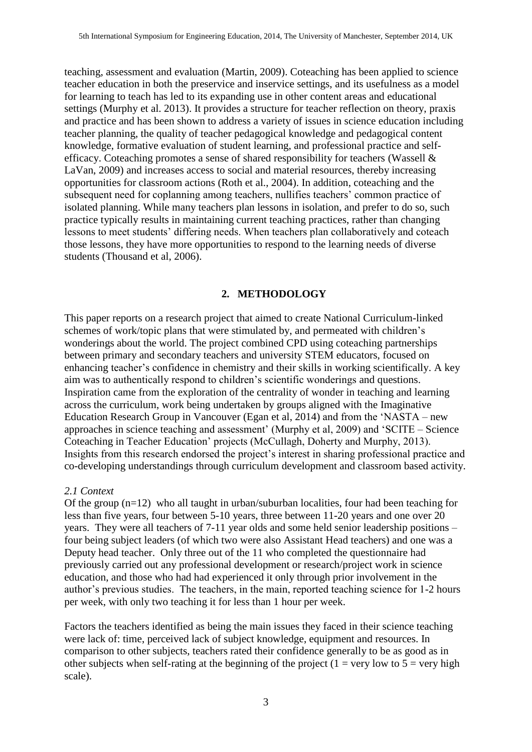teaching, assessment and evaluation (Martin, 2009). Coteaching has been applied to science teacher education in both the preservice and inservice settings, and its usefulness as a model for learning to teach has led to its expanding use in other content areas and educational settings (Murphy et al. 2013). It provides a structure for teacher reflection on theory, praxis and practice and has been shown to address a variety of issues in science education including teacher planning, the quality of teacher pedagogical knowledge and pedagogical content knowledge, formative evaluation of student learning, and professional practice and selfefficacy. Coteaching promotes a sense of shared responsibility for teachers (Wassell & LaVan, 2009) and increases access to social and material resources, thereby increasing opportunities for classroom actions (Roth et al., 2004). In addition, coteaching and the subsequent need for coplanning among teachers, nullifies teachers' common practice of isolated planning. While many teachers plan lessons in isolation, and prefer to do so, such practice typically results in maintaining current teaching practices, rather than changing lessons to meet students' differing needs. When teachers plan collaboratively and coteach those lessons, they have more opportunities to respond to the learning needs of diverse students (Thousand et al, 2006).

## **2. METHODOLOGY**

This paper reports on a research project that aimed to create National Curriculum-linked schemes of work/topic plans that were stimulated by, and permeated with children's wonderings about the world. The project combined CPD using coteaching partnerships between primary and secondary teachers and university STEM educators, focused on enhancing teacher's confidence in chemistry and their skills in working scientifically. A key aim was to authentically respond to children's scientific wonderings and questions. Inspiration came from the exploration of the centrality of wonder in teaching and learning across the curriculum, work being undertaken by groups aligned with the Imaginative Education Research Group in Vancouver (Egan et al, 2014) and from the 'NASTA – new approaches in science teaching and assessment' (Murphy et al, 2009) and 'SCITE – Science Coteaching in Teacher Education' projects (McCullagh, Doherty and Murphy, 2013). Insights from this research endorsed the project's interest in sharing professional practice and co-developing understandings through curriculum development and classroom based activity.

#### *2.1 Context*

Of the group  $(n=12)$  who all taught in urban/suburban localities, four had been teaching for less than five years, four between 5-10 years, three between 11-20 years and one over 20 years. They were all teachers of 7-11 year olds and some held senior leadership positions – four being subject leaders (of which two were also Assistant Head teachers) and one was a Deputy head teacher. Only three out of the 11 who completed the questionnaire had previously carried out any professional development or research/project work in science education, and those who had had experienced it only through prior involvement in the author's previous studies. The teachers, in the main, reported teaching science for 1-2 hours per week, with only two teaching it for less than 1 hour per week.

Factors the teachers identified as being the main issues they faced in their science teaching were lack of: time, perceived lack of subject knowledge, equipment and resources. In comparison to other subjects, teachers rated their confidence generally to be as good as in other subjects when self-rating at the beginning of the project (1 = very low to  $5$  = very high scale).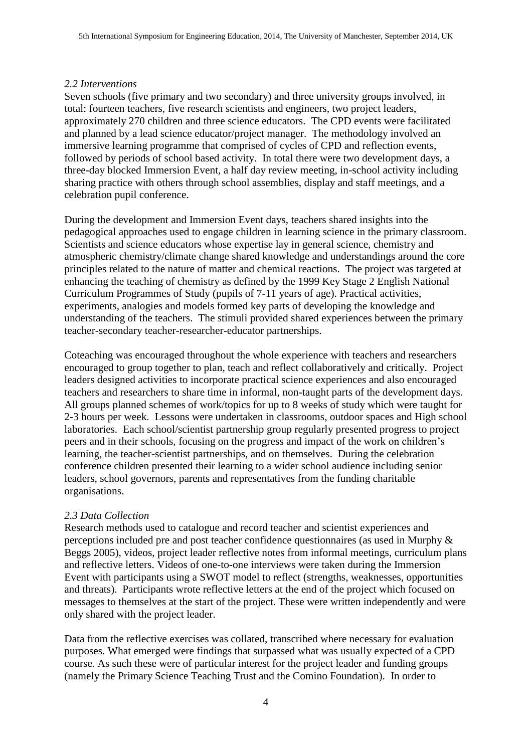# *2.2 Interventions*

Seven schools (five primary and two secondary) and three university groups involved, in total: fourteen teachers, five research scientists and engineers, two project leaders, approximately 270 children and three science educators. The CPD events were facilitated and planned by a lead science educator/project manager. The methodology involved an immersive learning programme that comprised of cycles of CPD and reflection events, followed by periods of school based activity. In total there were two development days, a three-day blocked Immersion Event, a half day review meeting, in-school activity including sharing practice with others through school assemblies, display and staff meetings, and a celebration pupil conference.

During the development and Immersion Event days, teachers shared insights into the pedagogical approaches used to engage children in learning science in the primary classroom. Scientists and science educators whose expertise lay in general science, chemistry and atmospheric chemistry/climate change shared knowledge and understandings around the core principles related to the nature of matter and chemical reactions. The project was targeted at enhancing the teaching of chemistry as defined by the 1999 Key Stage 2 English National Curriculum Programmes of Study (pupils of 7-11 years of age). Practical activities, experiments, analogies and models formed key parts of developing the knowledge and understanding of the teachers. The stimuli provided shared experiences between the primary teacher-secondary teacher-researcher-educator partnerships.

Coteaching was encouraged throughout the whole experience with teachers and researchers encouraged to group together to plan, teach and reflect collaboratively and critically. Project leaders designed activities to incorporate practical science experiences and also encouraged teachers and researchers to share time in informal, non-taught parts of the development days. All groups planned schemes of work/topics for up to 8 weeks of study which were taught for 2-3 hours per week. Lessons were undertaken in classrooms, outdoor spaces and High school laboratories. Each school/scientist partnership group regularly presented progress to project peers and in their schools, focusing on the progress and impact of the work on children's learning, the teacher-scientist partnerships, and on themselves. During the celebration conference children presented their learning to a wider school audience including senior leaders, school governors, parents and representatives from the funding charitable organisations.

# *2.3 Data Collection*

Research methods used to catalogue and record teacher and scientist experiences and perceptions included pre and post teacher confidence questionnaires (as used in Murphy & Beggs 2005), videos, project leader reflective notes from informal meetings, curriculum plans and reflective letters. Videos of one-to-one interviews were taken during the Immersion Event with participants using a SWOT model to reflect (strengths, weaknesses, opportunities and threats). Participants wrote reflective letters at the end of the project which focused on messages to themselves at the start of the project. These were written independently and were only shared with the project leader.

Data from the reflective exercises was collated, transcribed where necessary for evaluation purposes. What emerged were findings that surpassed what was usually expected of a CPD course. As such these were of particular interest for the project leader and funding groups (namely the Primary Science Teaching Trust and the Comino Foundation). In order to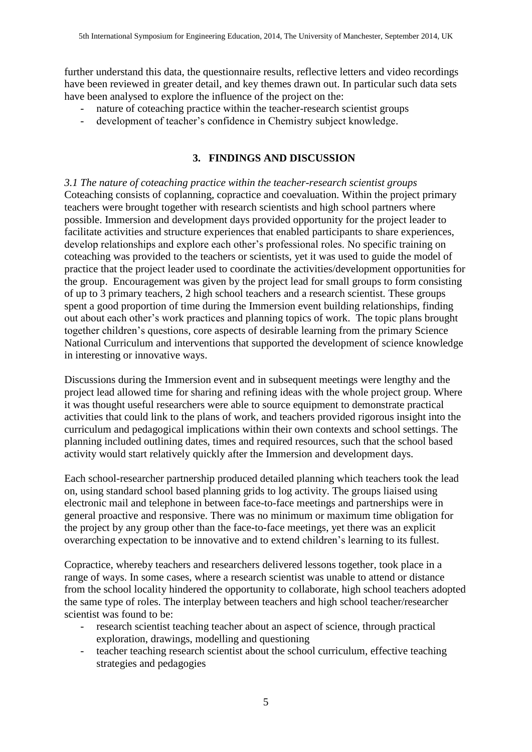further understand this data, the questionnaire results, reflective letters and video recordings have been reviewed in greater detail, and key themes drawn out. In particular such data sets have been analysed to explore the influence of the project on the:

- nature of coteaching practice within the teacher-research scientist groups
- development of teacher's confidence in Chemistry subject knowledge.

# **3. FINDINGS AND DISCUSSION**

*3.1 The nature of coteaching practice within the teacher-research scientist groups* Coteaching consists of coplanning, copractice and coevaluation. Within the project primary teachers were brought together with research scientists and high school partners where possible. Immersion and development days provided opportunity for the project leader to facilitate activities and structure experiences that enabled participants to share experiences, develop relationships and explore each other's professional roles. No specific training on coteaching was provided to the teachers or scientists, yet it was used to guide the model of practice that the project leader used to coordinate the activities/development opportunities for the group. Encouragement was given by the project lead for small groups to form consisting of up to 3 primary teachers, 2 high school teachers and a research scientist. These groups spent a good proportion of time during the Immersion event building relationships, finding out about each other's work practices and planning topics of work. The topic plans brought together children's questions, core aspects of desirable learning from the primary Science National Curriculum and interventions that supported the development of science knowledge in interesting or innovative ways.

Discussions during the Immersion event and in subsequent meetings were lengthy and the project lead allowed time for sharing and refining ideas with the whole project group. Where it was thought useful researchers were able to source equipment to demonstrate practical activities that could link to the plans of work, and teachers provided rigorous insight into the curriculum and pedagogical implications within their own contexts and school settings. The planning included outlining dates, times and required resources, such that the school based activity would start relatively quickly after the Immersion and development days.

Each school-researcher partnership produced detailed planning which teachers took the lead on, using standard school based planning grids to log activity. The groups liaised using electronic mail and telephone in between face-to-face meetings and partnerships were in general proactive and responsive. There was no minimum or maximum time obligation for the project by any group other than the face-to-face meetings, yet there was an explicit overarching expectation to be innovative and to extend children's learning to its fullest.

Copractice, whereby teachers and researchers delivered lessons together, took place in a range of ways. In some cases, where a research scientist was unable to attend or distance from the school locality hindered the opportunity to collaborate, high school teachers adopted the same type of roles. The interplay between teachers and high school teacher/researcher scientist was found to be:

- research scientist teaching teacher about an aspect of science, through practical exploration, drawings, modelling and questioning
- teacher teaching research scientist about the school curriculum, effective teaching strategies and pedagogies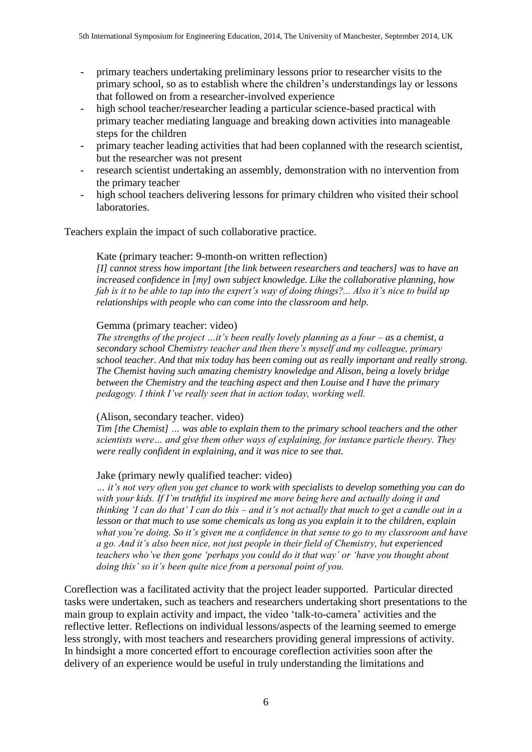- primary teachers undertaking preliminary lessons prior to researcher visits to the primary school, so as to establish where the children's understandings lay or lessons that followed on from a researcher-involved experience
- high school teacher/researcher leading a particular science-based practical with primary teacher mediating language and breaking down activities into manageable steps for the children
- primary teacher leading activities that had been coplanned with the research scientist, but the researcher was not present
- research scientist undertaking an assembly, demonstration with no intervention from the primary teacher
- high school teachers delivering lessons for primary children who visited their school laboratories.

Teachers explain the impact of such collaborative practice.

## Kate (primary teacher: 9-month-on written reflection)

*[I] cannot stress how important [the link between researchers and teachers] was to have an increased confidence in [my] own subject knowledge. Like the collaborative planning, how fab is it to be able to tap into the expert's way of doing things?... Also it's nice to build up relationships with people who can come into the classroom and help.*

## Gemma (primary teacher: video)

*The strengths of the project …it's been really lovely planning as a four – as a chemist, a secondary school Chemistry teacher and then there's myself and my colleague, primary school teacher. And that mix today has been coming out as really important and really strong. The Chemist having such amazing chemistry knowledge and Alison, being a lovely bridge between the Chemistry and the teaching aspect and then Louise and I have the primary pedagogy. I think I've really seen that in action today, working well.*

#### (Alison, secondary teacher. video)

*Tim [the Chemist] … was able to explain them to the primary school teachers and the other scientists were… and give them other ways of explaining, for instance particle theory. They were really confident in explaining, and it was nice to see that.* 

## Jake (primary newly qualified teacher: video)

*… it's not very often you get chance to work with specialists to develop something you can do with your kids. If I'm truthful its inspired me more being here and actually doing it and thinking 'I can do that' I can do this – and it's not actually that much to get a candle out in a lesson or that much to use some chemicals as long as you explain it to the children, explain what you're doing. So it's given me a confidence in that sense to go to my classroom and have a go. And it's also been nice, not just people in their field of Chemistry, but experienced teachers who've then gone 'perhaps you could do it that way' or 'have you thought about doing this' so it's been quite nice from a personal point of you.*

Coreflection was a facilitated activity that the project leader supported. Particular directed tasks were undertaken, such as teachers and researchers undertaking short presentations to the main group to explain activity and impact, the video 'talk-to-camera' activities and the reflective letter. Reflections on individual lessons/aspects of the learning seemed to emerge less strongly, with most teachers and researchers providing general impressions of activity. In hindsight a more concerted effort to encourage coreflection activities soon after the delivery of an experience would be useful in truly understanding the limitations and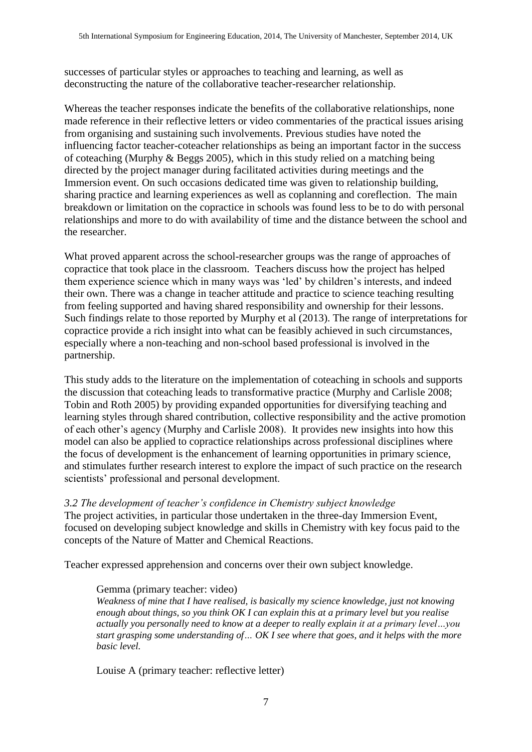successes of particular styles or approaches to teaching and learning, as well as deconstructing the nature of the collaborative teacher-researcher relationship.

Whereas the teacher responses indicate the benefits of the collaborative relationships, none made reference in their reflective letters or video commentaries of the practical issues arising from organising and sustaining such involvements. Previous studies have noted the influencing factor teacher-coteacher relationships as being an important factor in the success of coteaching (Murphy & Beggs 2005), which in this study relied on a matching being directed by the project manager during facilitated activities during meetings and the Immersion event. On such occasions dedicated time was given to relationship building, sharing practice and learning experiences as well as coplanning and coreflection. The main breakdown or limitation on the copractice in schools was found less to be to do with personal relationships and more to do with availability of time and the distance between the school and the researcher.

What proved apparent across the school-researcher groups was the range of approaches of copractice that took place in the classroom. Teachers discuss how the project has helped them experience science which in many ways was 'led' by children's interests, and indeed their own. There was a change in teacher attitude and practice to science teaching resulting from feeling supported and having shared responsibility and ownership for their lessons. Such findings relate to those reported by Murphy et al (2013). The range of interpretations for copractice provide a rich insight into what can be feasibly achieved in such circumstances, especially where a non-teaching and non-school based professional is involved in the partnership.

This study adds to the literature on the implementation of coteaching in schools and supports the discussion that coteaching leads to transformative practice (Murphy and Carlisle 2008; Tobin and Roth 2005) by providing expanded opportunities for diversifying teaching and learning styles through shared contribution, collective responsibility and the active promotion of each other's agency (Murphy and Carlisle 2008). It provides new insights into how this model can also be applied to copractice relationships across professional disciplines where the focus of development is the enhancement of learning opportunities in primary science, and stimulates further research interest to explore the impact of such practice on the research scientists' professional and personal development.

*3.2 The development of teacher's confidence in Chemistry subject knowledge* The project activities, in particular those undertaken in the three-day Immersion Event, focused on developing subject knowledge and skills in Chemistry with key focus paid to the concepts of the Nature of Matter and Chemical Reactions.

Teacher expressed apprehension and concerns over their own subject knowledge.

## Gemma (primary teacher: video)

*Weakness of mine that I have realised, is basically my science knowledge, just not knowing enough about things, so you think OK I can explain this at a primary level but you realise actually you personally need to know at a deeper to really explain it at a primary level…you start grasping some understanding of… OK I see where that goes, and it helps with the more basic level.*

Louise A (primary teacher: reflective letter)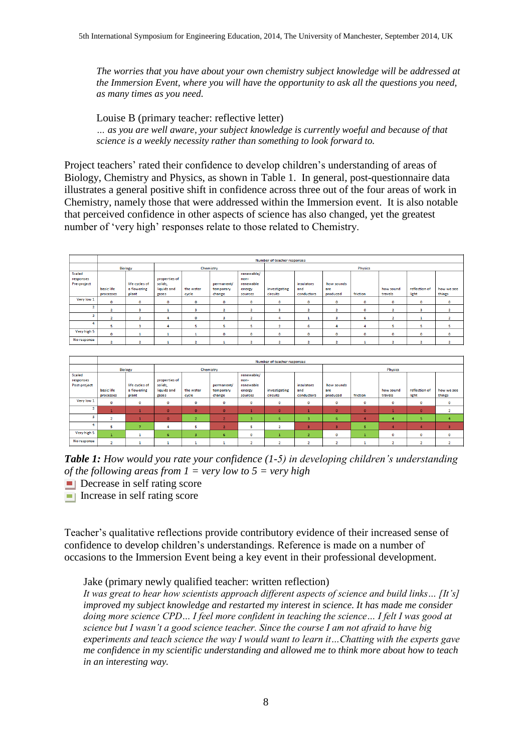*The worries that you have about your own chemistry subject knowledge will be addressed at the Immersion Event, where you will have the opportunity to ask all the questions you need, as many times as you need.*

Louise B (primary teacher: reflective letter) *… as you are well aware, your subject knowledge is currently woeful and because of that science is a weekly necessity rather than something to look forward to.*

Project teachers' rated their confidence to develop children's understanding of areas of Biology, Chemistry and Physics, as shown in Table 1. In general, post-questionnaire data illustrates a general positive shift in confidence across three out of the four areas of work in Chemistry, namely those that were addressed within the Immersion event. It is also notable that perceived confidence in other aspects of science has also changed, yet the greatest number of 'very high' responses relate to those related to Chemistry.

|                | Number of teacher responses |                |               |             |                |                |                |                |              |          |                |               |                         |  |  |
|----------------|-----------------------------|----------------|---------------|-------------|----------------|----------------|----------------|----------------|--------------|----------|----------------|---------------|-------------------------|--|--|
|                | Biology                     |                | Chemistry     |             |                |                | Physics        |                |              |          |                |               |                         |  |  |
| Scaled         |                             |                |               |             |                | renewable/     |                |                |              |          |                |               |                         |  |  |
| responses      |                             |                | properties of |             |                | non-           |                |                |              |          |                |               |                         |  |  |
| Pre-project    |                             | life cycles of | solids.       |             | permanent/     | renewable      |                | insulators     | how sounds   |          |                |               |                         |  |  |
|                | basic life                  | a flowering    | liquids and   | the water   | temporary      | energy         | investigating  | and            | are          |          | how sound      | reflection of | how we see              |  |  |
|                | processes                   | plant          | gases         | cycle       | change         | sources        | circuits       | conductors     | produced     | friction | travels        | light         | things                  |  |  |
| Very low 1     | $\circ$                     | $\circ$        | $\circ$       | $\circ$     | 0              | $\circ$        | 0              | $\mathbf{O}$   | $\circ$      | 0        | $\circ$        | $\circ$       | o                       |  |  |
| $\overline{2}$ | $\overline{\mathbf{2}}$     | в              |               | з           | $\overline{2}$ | $\overline{2}$ |                | $\overline{2}$ | 2            | 0        | $\overline{2}$ | в             | $\overline{\mathbf{2}}$ |  |  |
| R              | ٠                           | ×.             |               | $\mathbf 0$ | ٩              | $\overline{2}$ |                |                | з            | 6        | $\overline{2}$ |               | $\overline{2}$          |  |  |
|                | 5.                          | в              | 4             | 5           | 5              | 5              | $\overline{2}$ | 6              | 4            |          | 5              | 5             | 5                       |  |  |
| Very high 5    | $\mathbf 0$                 |                |               |             | 0              | $\mathbf 0$    | 0              | $\mathbf{o}$   | $\mathbf{o}$ | 0        | o              | $\circ$       | 0                       |  |  |
| No response    | ×                           |                |               |             |                | ×              |                |                | $\sim$       |          |                |               |                         |  |  |

|                                            | Number of teacher responses |                                        |                                                  |                    |                                   |                                                      |                           |                                 |                               |          |                      |                        |                      |  |
|--------------------------------------------|-----------------------------|----------------------------------------|--------------------------------------------------|--------------------|-----------------------------------|------------------------------------------------------|---------------------------|---------------------------------|-------------------------------|----------|----------------------|------------------------|----------------------|--|
|                                            | <b>Biology</b>              |                                        | Chemistry                                        |                    |                                   |                                                      |                           |                                 | <b>Physics</b>                |          |                      |                        |                      |  |
| <b>Scaled</b><br>responses<br>Post-project | basic life<br>processes     | life cycles of<br>a flowering<br>plant | properties of<br>solids,<br>liquids and<br>gases | the water<br>cycle | permanent/<br>temporary<br>change | renewable/<br>non-<br>renewable<br>energy<br>sources | investigating<br>circuits | insulators<br>and<br>conductors | how sounds<br>are<br>produced | friction | how sound<br>travels | reflection of<br>light | how we see<br>things |  |
| Very low 1                                 | 0                           | O                                      | o                                                | $\mathbf 0$        | 0                                 | $\mathbf 0$                                          | 0                         | $\mathbf 0$                     | $\mathbf 0$                   | о        | 0                    | $\mathbf 0$            | 0                    |  |
| n                                          |                             |                                        | $\Omega$                                         | $\Omega$           | $\bullet$                         |                                                      | o                         |                                 | $\mathbf{0}$                  | n        |                      | $\circ$                | o<br>٠               |  |
| з                                          |                             |                                        | $\Omega$                                         |                    |                                   | з                                                    | 6                         | R                               | 6                             |          |                      | s                      | 4                    |  |
| 4                                          |                             | ۰,                                     | 4                                                | 5                  | $\overline{2}$                    | 5                                                    | $\mathbf{a}$              |                                 |                               | 5        |                      |                        | 3                    |  |
| Very high 5                                |                             |                                        | 6                                                | в                  | 6                                 | $\mathbf 0$                                          |                           |                                 | $\circ$                       |          | $\circ$              | $\circ$                | o                    |  |
| No response                                | $\overline{2}$              |                                        | 1                                                |                    | ш                                 | $\overline{2}$                                       |                           | $\overline{2}$                  | 2                             |          | $\overline{2}$       | 2                      | $\overline{2}$       |  |

*Table 1: How would you rate your confidence (1-5) in developing children's understanding of the following areas from 1 = very low to 5 = very high* 

- **Decrease in self rating score**
- $\blacksquare$  Increase in self rating score

Teacher's qualitative reflections provide contributory evidence of their increased sense of confidence to develop children's understandings. Reference is made on a number of occasions to the Immersion Event being a key event in their professional development.

Jake (primary newly qualified teacher: written reflection)

*It was great to hear how scientists approach different aspects of science and build links… [It's] improved my subject knowledge and restarted my interest in science. It has made me consider doing more science CPD… I feel more confident in teaching the science… I felt I was good at science but I wasn't a good science teacher. Since the course I am not afraid to have big experiments and teach science the way I would want to learn it…Chatting with the experts gave me confidence in my scientific understanding and allowed me to think more about how to teach in an interesting way.*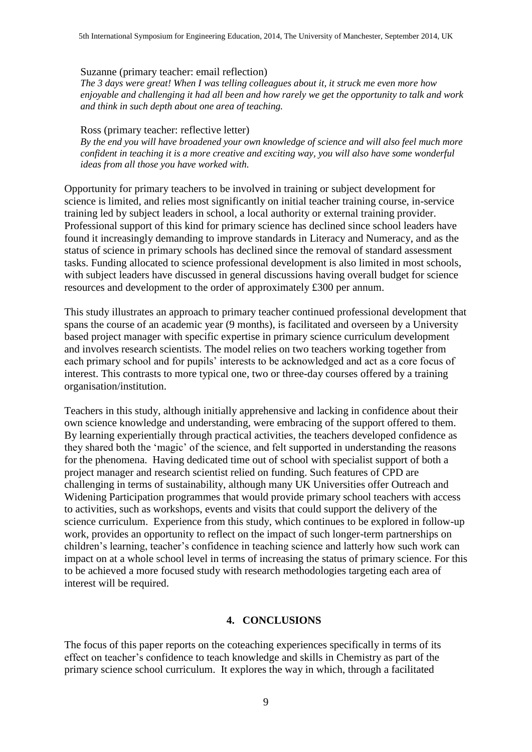## Suzanne (primary teacher: email reflection)

*The 3 days were great! When I was telling colleagues about it, it struck me even more how enjoyable and challenging it had all been and how rarely we get the opportunity to talk and work and think in such depth about one area of teaching.* 

#### Ross (primary teacher: reflective letter)

*By the end you will have broadened your own knowledge of science and will also feel much more confident in teaching it is a more creative and exciting way, you will also have some wonderful ideas from all those you have worked with.*

Opportunity for primary teachers to be involved in training or subject development for science is limited, and relies most significantly on initial teacher training course, in-service training led by subject leaders in school, a local authority or external training provider. Professional support of this kind for primary science has declined since school leaders have found it increasingly demanding to improve standards in Literacy and Numeracy, and as the status of science in primary schools has declined since the removal of standard assessment tasks. Funding allocated to science professional development is also limited in most schools, with subject leaders have discussed in general discussions having overall budget for science resources and development to the order of approximately £300 per annum.

This study illustrates an approach to primary teacher continued professional development that spans the course of an academic year (9 months), is facilitated and overseen by a University based project manager with specific expertise in primary science curriculum development and involves research scientists. The model relies on two teachers working together from each primary school and for pupils' interests to be acknowledged and act as a core focus of interest. This contrasts to more typical one, two or three-day courses offered by a training organisation/institution.

Teachers in this study, although initially apprehensive and lacking in confidence about their own science knowledge and understanding, were embracing of the support offered to them. By learning experientially through practical activities, the teachers developed confidence as they shared both the 'magic' of the science, and felt supported in understanding the reasons for the phenomena. Having dedicated time out of school with specialist support of both a project manager and research scientist relied on funding. Such features of CPD are challenging in terms of sustainability, although many UK Universities offer Outreach and Widening Participation programmes that would provide primary school teachers with access to activities, such as workshops, events and visits that could support the delivery of the science curriculum. Experience from this study, which continues to be explored in follow-up work, provides an opportunity to reflect on the impact of such longer-term partnerships on children's learning, teacher's confidence in teaching science and latterly how such work can impact on at a whole school level in terms of increasing the status of primary science. For this to be achieved a more focused study with research methodologies targeting each area of interest will be required.

## **4. CONCLUSIONS**

The focus of this paper reports on the coteaching experiences specifically in terms of its effect on teacher's confidence to teach knowledge and skills in Chemistry as part of the primary science school curriculum. It explores the way in which, through a facilitated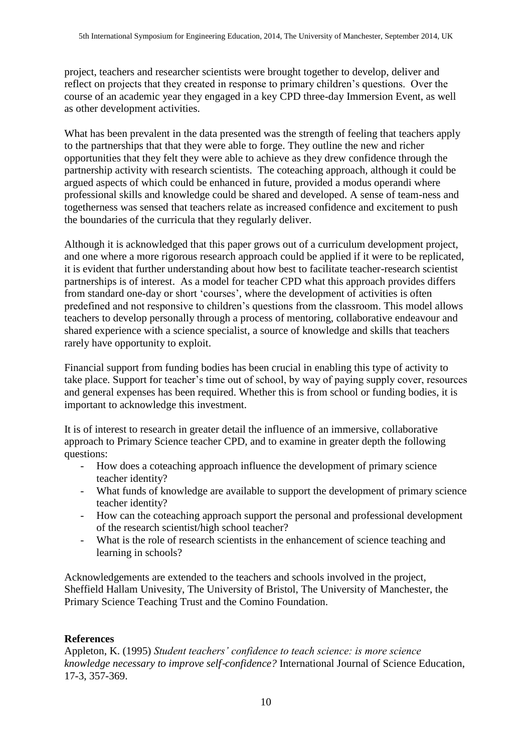project, teachers and researcher scientists were brought together to develop, deliver and reflect on projects that they created in response to primary children's questions. Over the course of an academic year they engaged in a key CPD three-day Immersion Event, as well as other development activities.

What has been prevalent in the data presented was the strength of feeling that teachers apply to the partnerships that that they were able to forge. They outline the new and richer opportunities that they felt they were able to achieve as they drew confidence through the partnership activity with research scientists. The coteaching approach, although it could be argued aspects of which could be enhanced in future, provided a modus operandi where professional skills and knowledge could be shared and developed. A sense of team-ness and togetherness was sensed that teachers relate as increased confidence and excitement to push the boundaries of the curricula that they regularly deliver.

Although it is acknowledged that this paper grows out of a curriculum development project, and one where a more rigorous research approach could be applied if it were to be replicated, it is evident that further understanding about how best to facilitate teacher-research scientist partnerships is of interest. As a model for teacher CPD what this approach provides differs from standard one-day or short 'courses', where the development of activities is often predefined and not responsive to children's questions from the classroom. This model allows teachers to develop personally through a process of mentoring, collaborative endeavour and shared experience with a science specialist, a source of knowledge and skills that teachers rarely have opportunity to exploit.

Financial support from funding bodies has been crucial in enabling this type of activity to take place. Support for teacher's time out of school, by way of paying supply cover, resources and general expenses has been required. Whether this is from school or funding bodies, it is important to acknowledge this investment.

It is of interest to research in greater detail the influence of an immersive, collaborative approach to Primary Science teacher CPD, and to examine in greater depth the following questions:

- How does a coteaching approach influence the development of primary science teacher identity?
- What funds of knowledge are available to support the development of primary science teacher identity?
- How can the coteaching approach support the personal and professional development of the research scientist/high school teacher?
- What is the role of research scientists in the enhancement of science teaching and learning in schools?

Acknowledgements are extended to the teachers and schools involved in the project, Sheffield Hallam Univesity, The University of Bristol, The University of Manchester, the Primary Science Teaching Trust and the Comino Foundation.

# **References**

Appleton, K. (1995) *Student teachers' confidence to teach science: is more science knowledge necessary to improve self*‐*confidence?* International Journal of Science Education, 17-3, 357-369.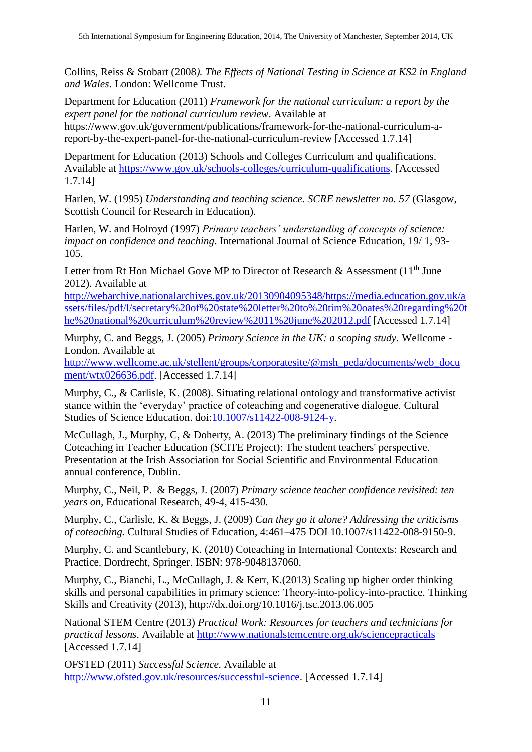Collins, Reiss & Stobart (2008*). The Effects of National Testing in Science at KS2 in England and Wales*. London: Wellcome Trust.

Department for Education (2011) *Framework for the national curriculum: a report by the expert panel for the national curriculum review*. Available at https://www.gov.uk/government/publications/framework-for-the-national-curriculum-a-

report-by-the-expert-panel-for-the-national-curriculum-review [Accessed 1.7.14]

Department for Education (2013) Schools and Colleges Curriculum and qualifications. Available at [https://www.gov.uk/schools-colleges/curriculum-qualifications.](https://www.gov.uk/schools-colleges/curriculum-qualifications) [Accessed 1.7.14]

Harlen, W. (1995) *Understanding and teaching science. SCRE newsletter no. 57* (Glasgow, Scottish Council for Research in Education).

Harlen, W. and Holroyd (1997) *Primary teachers' understanding of concepts of science: impact on confidence and teaching*. International Journal of Science Education, 19/ 1, 93- 105.

Letter from Rt Hon Michael Gove MP to Director of Research & Assessment (11<sup>th</sup> June 2012). Available at

[http://webarchive.nationalarchives.gov.uk/20130904095348/https://media.education.gov.uk/a](http://webarchive.nationalarchives.gov.uk/20130904095348/https:/media.education.gov.uk/assets/files/pdf/l/secretary%20of%20state%20letter%20to%20tim%20oates%20regarding%20the%20national%20curriculum%20review%2011%20june%202012.pdf) [ssets/files/pdf/l/secretary%20of%20state%20letter%20to%20tim%20oates%20regarding%20t](http://webarchive.nationalarchives.gov.uk/20130904095348/https:/media.education.gov.uk/assets/files/pdf/l/secretary%20of%20state%20letter%20to%20tim%20oates%20regarding%20the%20national%20curriculum%20review%2011%20june%202012.pdf) [he%20national%20curriculum%20review%2011%20june%202012.pdf](http://webarchive.nationalarchives.gov.uk/20130904095348/https:/media.education.gov.uk/assets/files/pdf/l/secretary%20of%20state%20letter%20to%20tim%20oates%20regarding%20the%20national%20curriculum%20review%2011%20june%202012.pdf) [Accessed 1.7.14]

Murphy, C. and Beggs, J. (2005) *Primary Science in the UK: a scoping study.* Wellcome - London. Available at

[http://www.wellcome.ac.uk/stellent/groups/corporatesite/@msh\\_peda/documents/web\\_docu](http://www.wellcome.ac.uk/stellent/groups/corporatesite/@msh_peda/documents/web_document/wtx026636.pdf) [ment/wtx026636.pdf.](http://www.wellcome.ac.uk/stellent/groups/corporatesite/@msh_peda/documents/web_document/wtx026636.pdf) [Accessed 1.7.14]

Murphy, C., & Carlisle, K. (2008). Situating relational ontology and transformative activist stance within the 'everyday' practice of coteaching and cogenerative dialogue. Cultural Studies of Science Education. doi:10.1007/s11422-008-9124-y.

McCullagh, J., Murphy, C, & Doherty, A. (2013) The preliminary findings of the Science Coteaching in Teacher Education (SCITE Project): The student teachers' perspective. Presentation at the Irish Association for Social Scientific and Environmental Education annual conference, Dublin.

Murphy, C., Neil, P. & Beggs, J. (2007) *Primary science teacher confidence revisited: ten years on,* Educational Research, 49-4, 415-430.

Murphy, C., Carlisle, K. & Beggs, J. (2009) *Can they go it alone? Addressing the criticisms of coteaching.* Cultural Studies of Education, 4:461–475 DOI 10.1007/s11422-008-9150-9.

Murphy, C. and Scantlebury, K. (2010) Coteaching in International Contexts: Research and Practice. Dordrecht, Springer. ISBN: 978-9048137060.

Murphy, C., Bianchi, L., McCullagh, J. & Kerr, K.(2013) Scaling up higher order thinking skills and personal capabilities in primary science: Theory-into-policy-into-practice. Thinking Skills and Creativity (2013), http://dx.doi.org/10.1016/j.tsc.2013.06.005

National STEM Centre (2013) *Practical Work: Resources for teachers and technicians for practical lessons*. Available at<http://www.nationalstemcentre.org.uk/sciencepracticals> [Accessed 1.7.14]

OFSTED (2011) *Successful Science.* Available at [http://www.ofsted.gov.uk/resources/successful-science.](http://www.ofsted.gov.uk/resources/successful-science) [Accessed 1.7.14]